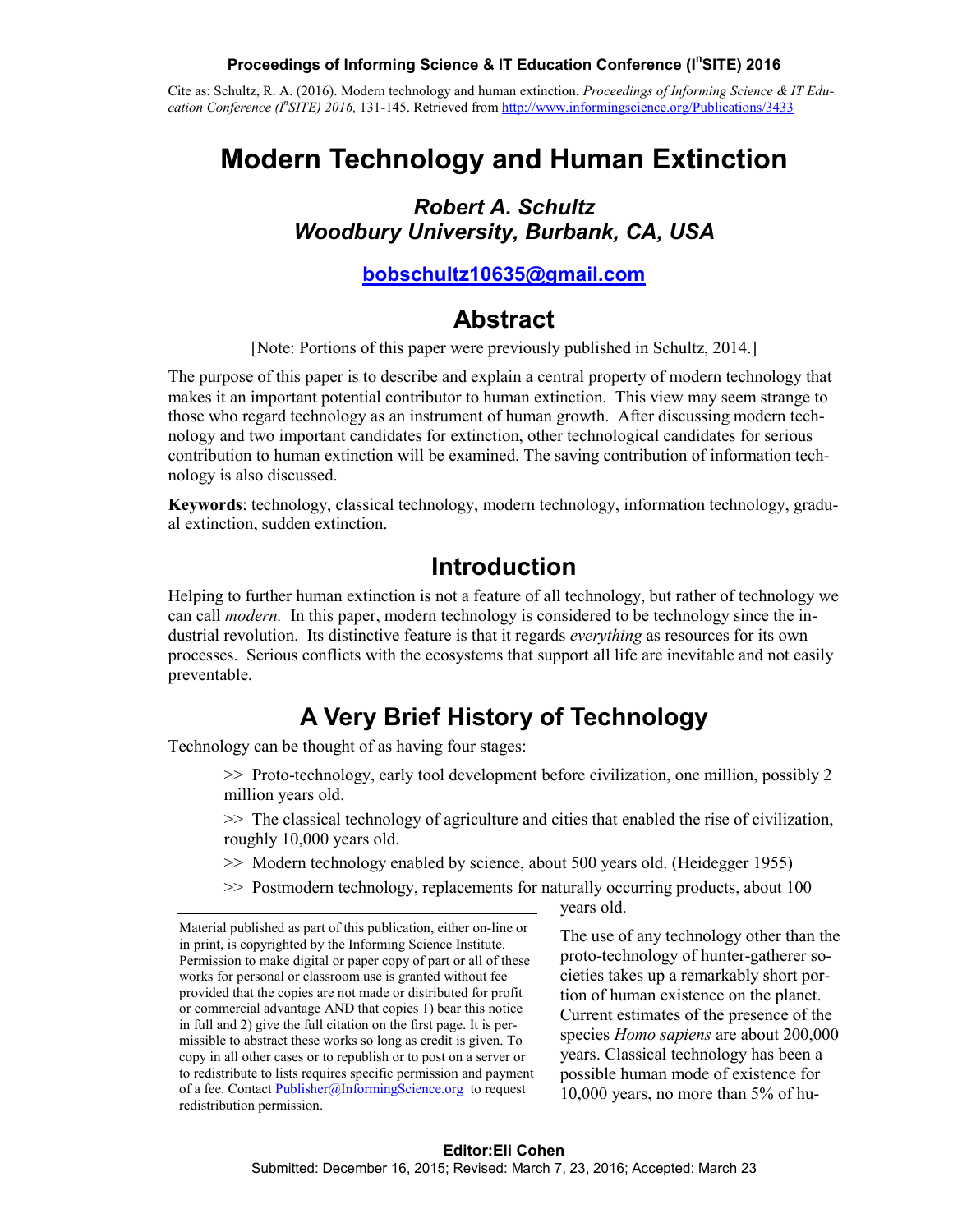#### **Proceedings of Informing Science & IT Education Conference (I<sup>n</sup> SITE) 2016**

Cite as: Schultz, R. A. (2016). Modern technology and human extinction. *Proceedings of Informing Science & IT Education Conference (In SITE) 2016,* 131-145. Retrieved from <http://www.informingscience.org/Publications/3433>

# **Modern Technology and Human Extinction**

### *Robert A. Schultz Woodbury University, Burbank, CA, USA*

#### **[bobschultz10635@gmail.com](mailto:bobschultz10635@gmail.com)**

## **Abstract**

[Note: Portions of this paper were previously published in Schultz, 2014.]

The purpose of this paper is to describe and explain a central property of modern technology that makes it an important potential contributor to human extinction. This view may seem strange to those who regard technology as an instrument of human growth. After discussing modern technology and two important candidates for extinction, other technological candidates for serious contribution to human extinction will be examined. The saving contribution of information technology is also discussed.

**Keywords**: technology, classical technology, modern technology, information technology, gradual extinction, sudden extinction.

## **Introduction**

Helping to further human extinction is not a feature of all technology, but rather of technology we can call *modern.* In this paper, modern technology is considered to be technology since the industrial revolution. Its distinctive feature is that it regards *everything* as resources for its own processes. Serious conflicts with the ecosystems that support all life are inevitable and not easily preventable.

# **A Very Brief History of Technology**

Technology can be thought of as having four stages:

>> Proto-technology, early tool development before civilization, one million, possibly 2 million years old.

>> The classical technology of agriculture and cities that enabled the rise of civilization, roughly 10,000 years old.

- >> Modern technology enabled by science, about 500 years old. (Heidegger 1955)
- >> Postmodern technology, replacements for naturally occurring products, about 100

years old.

The use of any technology other than the proto-technology of hunter-gatherer societies takes up a remarkably short portion of human existence on the planet. Current estimates of the presence of the species *Homo sapiens* are about 200,000 years. Classical technology has been a possible human mode of existence for 10,000 years, no more than 5% of hu-

Material published as part of this publication, either on-line or in print, is copyrighted by the Informing Science Institute. Permission to make digital or paper copy of part or all of these works for personal or classroom use is granted without fee provided that the copies are not made or distributed for profit or commercial advantage AND that copies 1) bear this notice in full and 2) give the full citation on the first page. It is permissible to abstract these works so long as credit is given. To copy in all other cases or to republish or to post on a server or to redistribute to lists requires specific permission and payment of a fee. Contact [Publisher@InformingScience.org](mailto:Publisher@InformingScience.org) to request redistribution permission.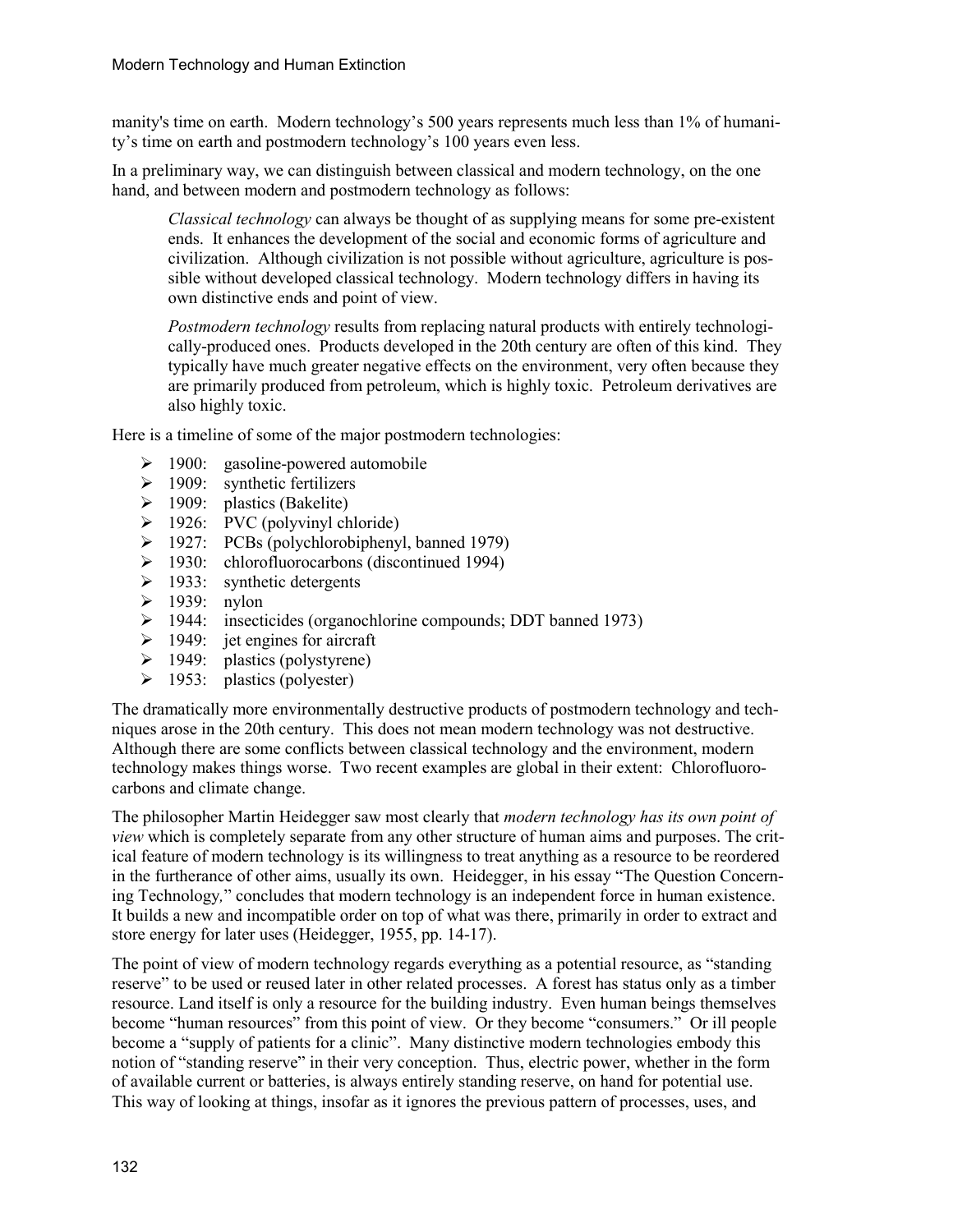manity's time on earth. Modern technology's 500 years represents much less than 1% of humanity's time on earth and postmodern technology's 100 years even less.

In a preliminary way, we can distinguish between classical and modern technology, on the one hand, and between modern and postmodern technology as follows:

*Classical technology* can always be thought of as supplying means for some pre-existent ends. It enhances the development of the social and economic forms of agriculture and civilization. Although civilization is not possible without agriculture, agriculture is possible without developed classical technology. Modern technology differs in having its own distinctive ends and point of view.

*Postmodern technology* results from replacing natural products with entirely technologically-produced ones. Products developed in the 20th century are often of this kind. They typically have much greater negative effects on the environment, very often because they are primarily produced from petroleum, which is highly toxic. Petroleum derivatives are also highly toxic.

Here is a timeline of some of the major postmodern technologies:

- $\geq$  1900: gasoline-powered automobile
- $\geq$  1909: synthetic fertilizers
- $\geq$  1909: plastics (Bakelite)
- $\geq$  1926: PVC (polyvinyl chloride)
- $\triangleright$  1927: PCBs (polychlorobiphenyl, banned 1979)
- 1930: chlorofluorocarbons (discontinued 1994)
- $\geq$  1933: synthetic detergents
- $\geq$  1939: nylon
- 1944: insecticides (organochlorine compounds; DDT banned 1973)
- $\geq 1949$ : jet engines for aircraft
- $\geq$  1949: plastics (polystyrene)
- $\geq$  1953: plastics (polyester)

The dramatically more environmentally destructive products of postmodern technology and techniques arose in the 20th century. This does not mean modern technology was not destructive. Although there are some conflicts between classical technology and the environment, modern technology makes things worse. Two recent examples are global in their extent: Chlorofluorocarbons and climate change.

The philosopher Martin Heidegger saw most clearly that *modern technology has its own point of view* which is completely separate from any other structure of human aims and purposes. The critical feature of modern technology is its willingness to treat anything as a resource to be reordered in the furtherance of other aims, usually its own. Heidegger, in his essay "The Question Concerning Technology*,*" concludes that modern technology is an independent force in human existence. It builds a new and incompatible order on top of what was there, primarily in order to extract and store energy for later uses (Heidegger, 1955, pp. 14-17).

The point of view of modern technology regards everything as a potential resource, as "standing reserve" to be used or reused later in other related processes. A forest has status only as a timber resource. Land itself is only a resource for the building industry. Even human beings themselves become "human resources" from this point of view. Or they become "consumers." Or ill people become a "supply of patients for a clinic". Many distinctive modern technologies embody this notion of "standing reserve" in their very conception. Thus, electric power, whether in the form of available current or batteries, is always entirely standing reserve, on hand for potential use. This way of looking at things, insofar as it ignores the previous pattern of processes, uses, and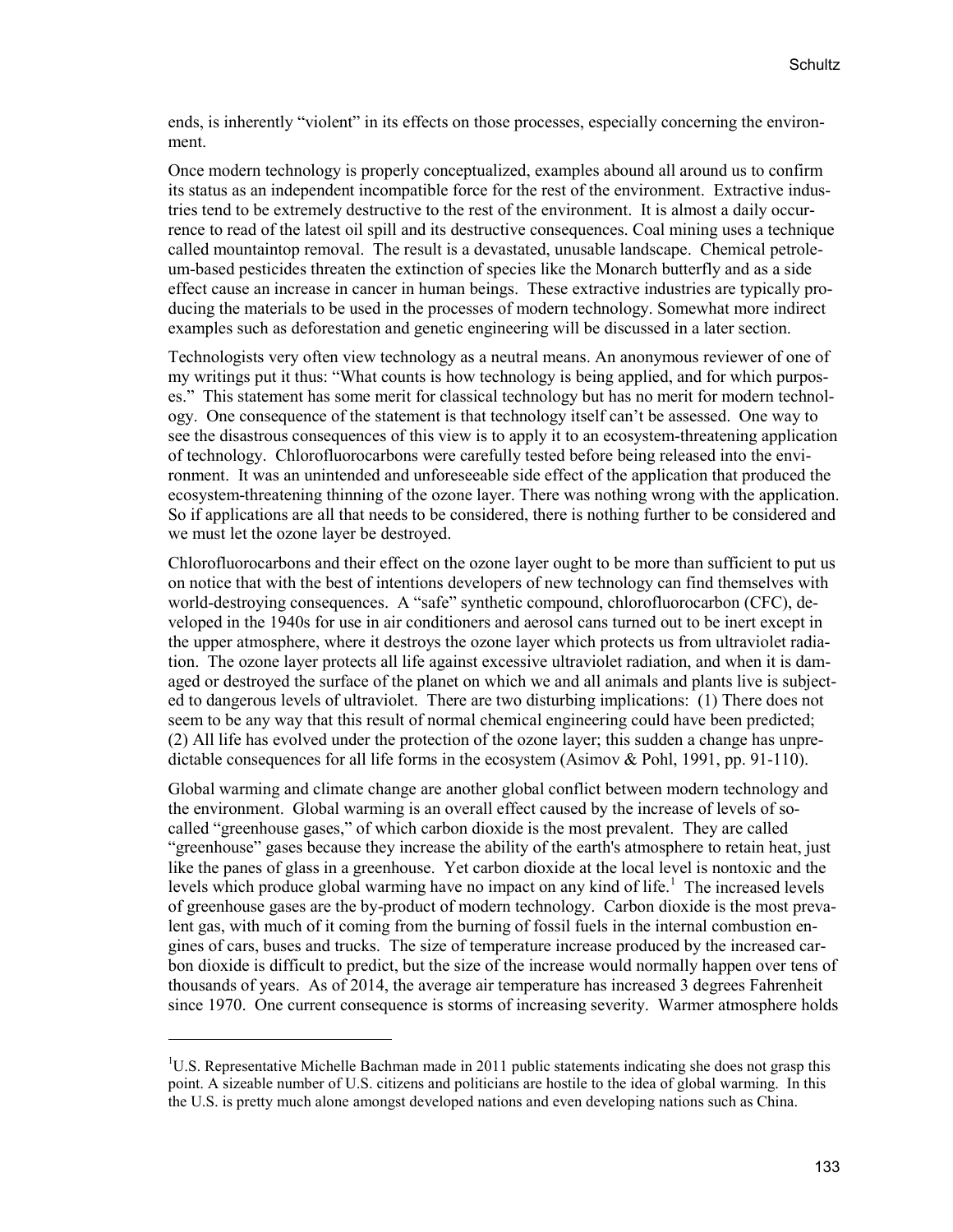ends, is inherently "violent" in its effects on those processes, especially concerning the environment.

Once modern technology is properly conceptualized, examples abound all around us to confirm its status as an independent incompatible force for the rest of the environment. Extractive industries tend to be extremely destructive to the rest of the environment. It is almost a daily occurrence to read of the latest oil spill and its destructive consequences. Coal mining uses a technique called mountaintop removal. The result is a devastated, unusable landscape. Chemical petroleum-based pesticides threaten the extinction of species like the Monarch butterfly and as a side effect cause an increase in cancer in human beings. These extractive industries are typically producing the materials to be used in the processes of modern technology. Somewhat more indirect examples such as deforestation and genetic engineering will be discussed in a later section.

Technologists very often view technology as a neutral means. An anonymous reviewer of one of my writings put it thus: "What counts is how technology is being applied, and for which purposes." This statement has some merit for classical technology but has no merit for modern technology. One consequence of the statement is that technology itself can't be assessed. One way to see the disastrous consequences of this view is to apply it to an ecosystem-threatening application of technology. Chlorofluorocarbons were carefully tested before being released into the environment. It was an unintended and unforeseeable side effect of the application that produced the ecosystem-threatening thinning of the ozone layer. There was nothing wrong with the application. So if applications are all that needs to be considered, there is nothing further to be considered and we must let the ozone layer be destroyed.

Chlorofluorocarbons and their effect on the ozone layer ought to be more than sufficient to put us on notice that with the best of intentions developers of new technology can find themselves with world-destroying consequences. A "safe" synthetic compound, chlorofluorocarbon (CFC), developed in the 1940s for use in air conditioners and aerosol cans turned out to be inert except in the upper atmosphere, where it destroys the ozone layer which protects us from ultraviolet radiation. The ozone layer protects all life against excessive ultraviolet radiation, and when it is damaged or destroyed the surface of the planet on which we and all animals and plants live is subjected to dangerous levels of ultraviolet. There are two disturbing implications: (1) There does not seem to be any way that this result of normal chemical engineering could have been predicted; (2) All life has evolved under the protection of the ozone layer; this sudden a change has unpredictable consequences for all life forms in the ecosystem (Asimov & Pohl, 1991, pp. 91-110).

Global warming and climate change are another global conflict between modern technology and the environment. Global warming is an overall effect caused by the increase of levels of socalled "greenhouse gases," of which carbon dioxide is the most prevalent. They are called "greenhouse" gases because they increase the ability of the earth's atmosphere to retain heat, just like the panes of glass in a greenhouse. Yet carbon dioxide at the local level is nontoxic and the levels which produce global warming have no impact on any kind of life.<sup>[1](#page-2-0)</sup> The increased levels of greenhouse gases are the by-product of modern technology. Carbon dioxide is the most prevalent gas, with much of it coming from the burning of fossil fuels in the internal combustion engines of cars, buses and trucks. The size of temperature increase produced by the increased carbon dioxide is difficult to predict, but the size of the increase would normally happen over tens of thousands of years. As of 2014, the average air temperature has increased 3 degrees Fahrenheit since 1970. One current consequence is storms of increasing severity. Warmer atmosphere holds

<span id="page-2-0"></span><sup>&</sup>lt;sup>1</sup>U.S. Representative Michelle Bachman made in 2011 public statements indicating she does not grasp this point. A sizeable number of U.S. citizens and politicians are hostile to the idea of global warming. In this the U.S. is pretty much alone amongst developed nations and even developing nations such as China.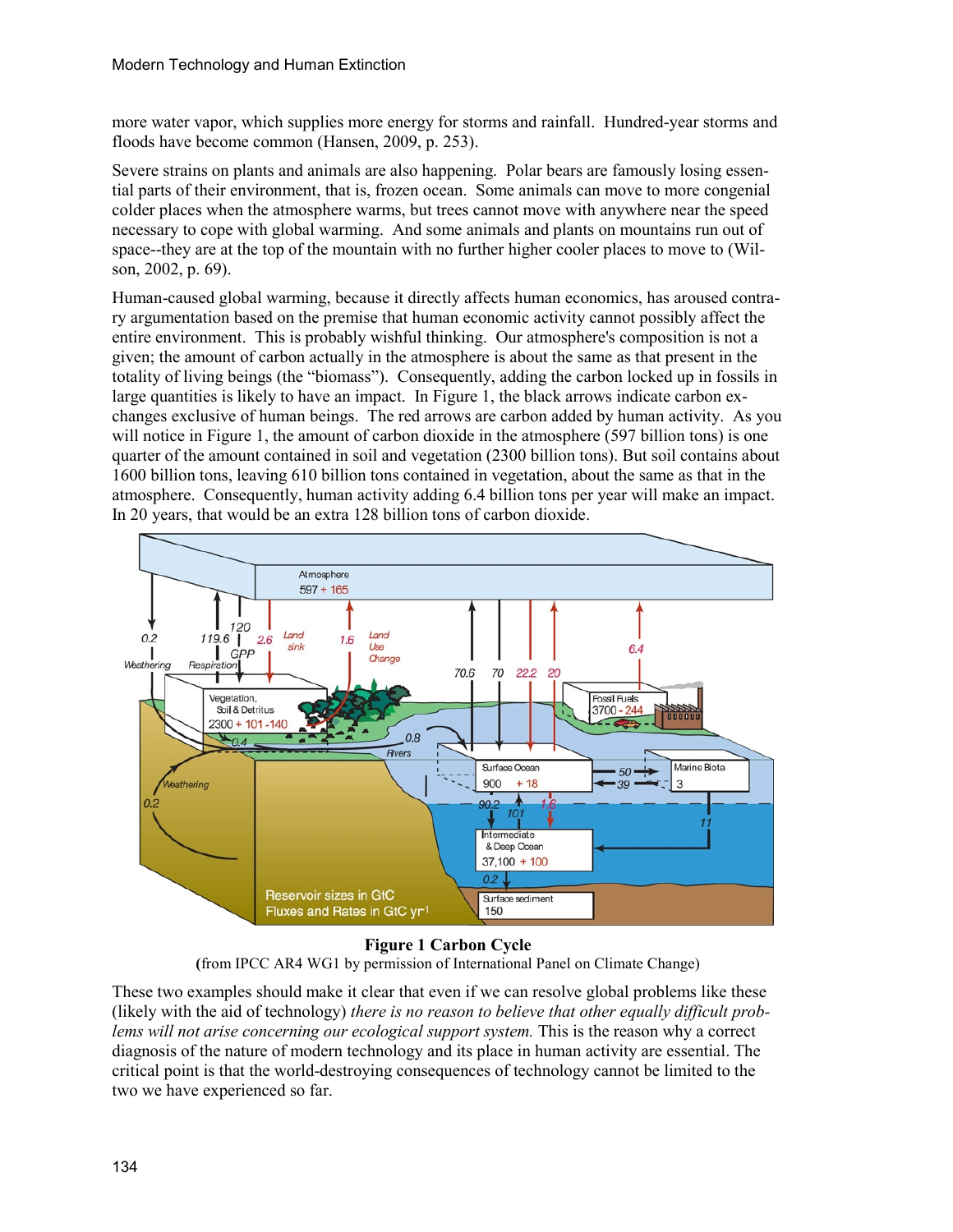more water vapor, which supplies more energy for storms and rainfall. Hundred-year storms and floods have become common (Hansen, 2009, p. 253).

Severe strains on plants and animals are also happening. Polar bears are famously losing essential parts of their environment, that is, frozen ocean. Some animals can move to more congenial colder places when the atmosphere warms, but trees cannot move with anywhere near the speed necessary to cope with global warming. And some animals and plants on mountains run out of space--they are at the top of the mountain with no further higher cooler places to move to (Wilson, 2002, p. 69).

Human-caused global warming, because it directly affects human economics, has aroused contrary argumentation based on the premise that human economic activity cannot possibly affect the entire environment. This is probably wishful thinking. Our atmosphere's composition is not a given; the amount of carbon actually in the atmosphere is about the same as that present in the totality of living beings (the "biomass"). Consequently, adding the carbon locked up in fossils in large quantities is likely to have an impact. In Figure 1, the black arrows indicate carbon exchanges exclusive of human beings. The red arrows are carbon added by human activity. As you will notice in Figure 1, the amount of carbon dioxide in the atmosphere (597 billion tons) is one quarter of the amount contained in soil and vegetation (2300 billion tons). But soil contains about 1600 billion tons, leaving 610 billion tons contained in vegetation, about the same as that in the atmosphere. Consequently, human activity adding 6.4 billion tons per year will make an impact. In 20 years, that would be an extra 128 billion tons of carbon dioxide.



**Figure 1 Carbon Cycle (**from IPCC AR4 WG1 by permission of International Panel on Climate Change)

These two examples should make it clear that even if we can resolve global problems like these (likely with the aid of technology) *there is no reason to believe that other equally difficult problems will not arise concerning our ecological support system.* This is the reason why a correct diagnosis of the nature of modern technology and its place in human activity are essential. The critical point is that the world-destroying consequences of technology cannot be limited to the two we have experienced so far.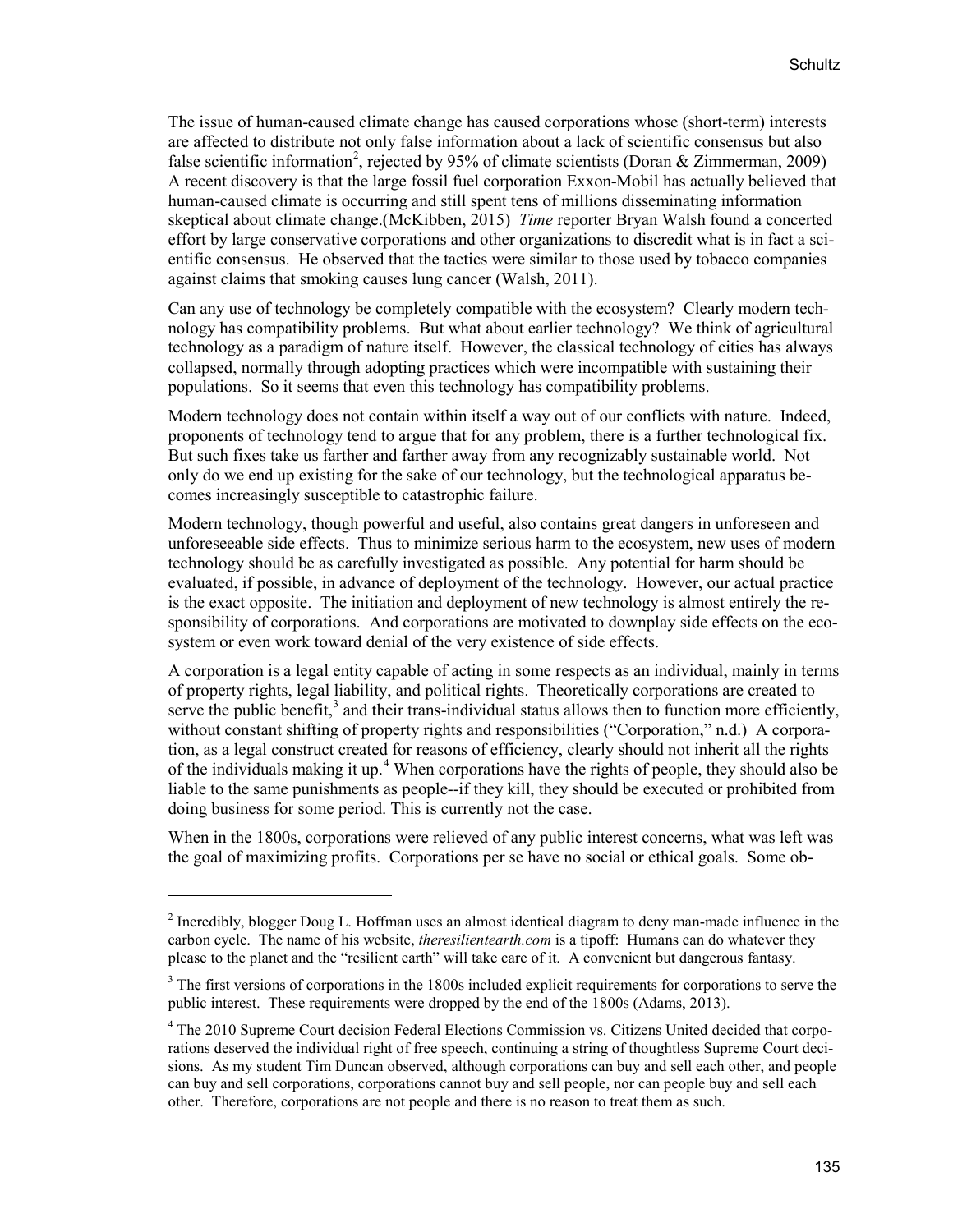The issue of human-caused climate change has caused corporations whose (short-term) interests are affected to distribute not only false information about a lack of scientific consensus but also false scientific information<sup>[2](#page-4-0)</sup>, rejected by 95% of climate scientists (Doran & Zimmerman, 2009) A recent discovery is that the large fossil fuel corporation Exxon-Mobil has actually believed that human-caused climate is occurring and still spent tens of millions disseminating information skeptical about climate change.(McKibben, 2015) *Time* reporter Bryan Walsh found a concerted effort by large conservative corporations and other organizations to discredit what is in fact a scientific consensus. He observed that the tactics were similar to those used by tobacco companies against claims that smoking causes lung cancer (Walsh, 2011).

Can any use of technology be completely compatible with the ecosystem? Clearly modern technology has compatibility problems. But what about earlier technology? We think of agricultural technology as a paradigm of nature itself. However, the classical technology of cities has always collapsed, normally through adopting practices which were incompatible with sustaining their populations. So it seems that even this technology has compatibility problems.

Modern technology does not contain within itself a way out of our conflicts with nature. Indeed, proponents of technology tend to argue that for any problem, there is a further technological fix. But such fixes take us farther and farther away from any recognizably sustainable world. Not only do we end up existing for the sake of our technology, but the technological apparatus becomes increasingly susceptible to catastrophic failure.

Modern technology, though powerful and useful, also contains great dangers in unforeseen and unforeseeable side effects. Thus to minimize serious harm to the ecosystem, new uses of modern technology should be as carefully investigated as possible. Any potential for harm should be evaluated, if possible, in advance of deployment of the technology. However, our actual practice is the exact opposite. The initiation and deployment of new technology is almost entirely the responsibility of corporations. And corporations are motivated to downplay side effects on the ecosystem or even work toward denial of the very existence of side effects.

A corporation is a legal entity capable of acting in some respects as an individual, mainly in terms of property rights, legal liability, and political rights. Theoretically corporations are created to serve the public benefit,<sup>[3](#page-4-1)</sup> and their trans-individual status allows then to function more efficiently, without constant shifting of property rights and responsibilities ("Corporation," n.d.) A corporation, as a legal construct created for reasons of efficiency, clearly should not inherit all the rights of the individuals making it up.<sup>[4](#page-4-2)</sup> When corporations have the rights of people, they should also be liable to the same punishments as people--if they kill, they should be executed or prohibited from doing business for some period. This is currently not the case.

When in the 1800s, corporations were relieved of any public interest concerns, what was left was the goal of maximizing profits. Corporations per se have no social or ethical goals. Some ob-

<span id="page-4-0"></span><sup>&</sup>lt;sup>2</sup> Incredibly, blogger Doug L. Hoffman uses an almost identical diagram to deny man-made influence in the carbon cycle. The name of his website, *theresilientearth.com* is a tipoff: Humans can do whatever they please to the planet and the "resilient earth" will take care of it. A convenient but dangerous fantasy.

<span id="page-4-1"></span> $3$  The first versions of corporations in the 1800s included explicit requirements for corporations to serve the public interest. These requirements were dropped by the end of the 1800s (Adams, 2013).

<span id="page-4-2"></span><sup>&</sup>lt;sup>4</sup> The 2010 Supreme Court decision Federal Elections Commission vs. Citizens United decided that corporations deserved the individual right of free speech, continuing a string of thoughtless Supreme Court decisions. As my student Tim Duncan observed, although corporations can buy and sell each other, and people can buy and sell corporations, corporations cannot buy and sell people, nor can people buy and sell each other. Therefore, corporations are not people and there is no reason to treat them as such.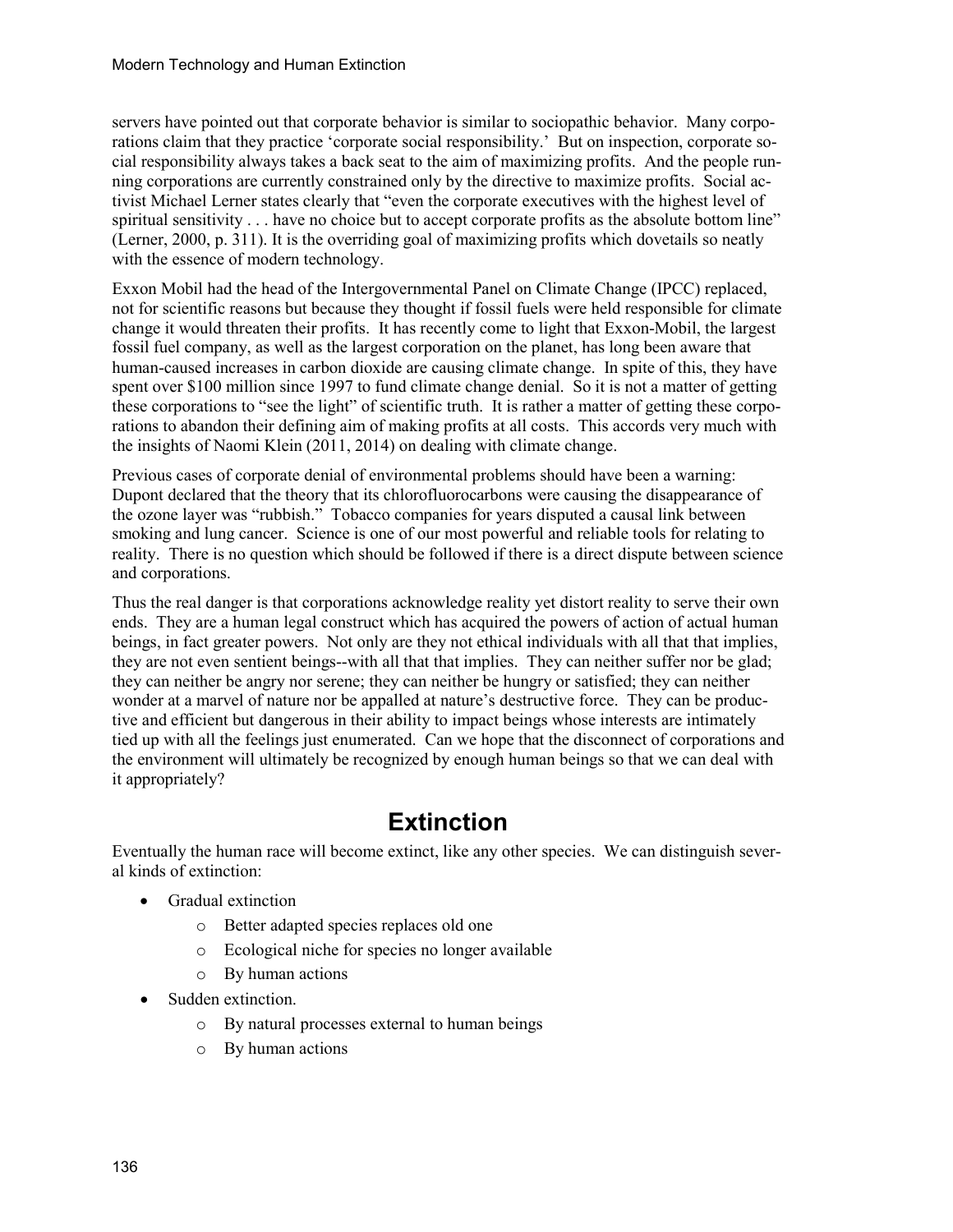servers have pointed out that corporate behavior is similar to sociopathic behavior. Many corporations claim that they practice 'corporate social responsibility.' But on inspection, corporate social responsibility always takes a back seat to the aim of maximizing profits. And the people running corporations are currently constrained only by the directive to maximize profits. Social activist Michael Lerner states clearly that "even the corporate executives with the highest level of spiritual sensitivity . . . have no choice but to accept corporate profits as the absolute bottom line" (Lerner, 2000, p. 311). It is the overriding goal of maximizing profits which dovetails so neatly with the essence of modern technology.

Exxon Mobil had the head of the Intergovernmental Panel on Climate Change (IPCC) replaced, not for scientific reasons but because they thought if fossil fuels were held responsible for climate change it would threaten their profits. It has recently come to light that Exxon-Mobil, the largest fossil fuel company, as well as the largest corporation on the planet, has long been aware that human-caused increases in carbon dioxide are causing climate change. In spite of this, they have spent over \$100 million since 1997 to fund climate change denial. So it is not a matter of getting these corporations to "see the light" of scientific truth. It is rather a matter of getting these corporations to abandon their defining aim of making profits at all costs. This accords very much with the insights of Naomi Klein (2011, 2014) on dealing with climate change.

Previous cases of corporate denial of environmental problems should have been a warning: Dupont declared that the theory that its chlorofluorocarbons were causing the disappearance of the ozone layer was "rubbish." Tobacco companies for years disputed a causal link between smoking and lung cancer. Science is one of our most powerful and reliable tools for relating to reality. There is no question which should be followed if there is a direct dispute between science and corporations.

Thus the real danger is that corporations acknowledge reality yet distort reality to serve their own ends. They are a human legal construct which has acquired the powers of action of actual human beings, in fact greater powers. Not only are they not ethical individuals with all that that implies, they are not even sentient beings--with all that that implies. They can neither suffer nor be glad; they can neither be angry nor serene; they can neither be hungry or satisfied; they can neither wonder at a marvel of nature nor be appalled at nature's destructive force. They can be productive and efficient but dangerous in their ability to impact beings whose interests are intimately tied up with all the feelings just enumerated. Can we hope that the disconnect of corporations and the environment will ultimately be recognized by enough human beings so that we can deal with it appropriately?

## **Extinction**

Eventually the human race will become extinct, like any other species. We can distinguish several kinds of extinction:

- Gradual extinction
	- o Better adapted species replaces old one
	- o Ecological niche for species no longer available
	- o By human actions
- Sudden extinction.
	- o By natural processes external to human beings
	- o By human actions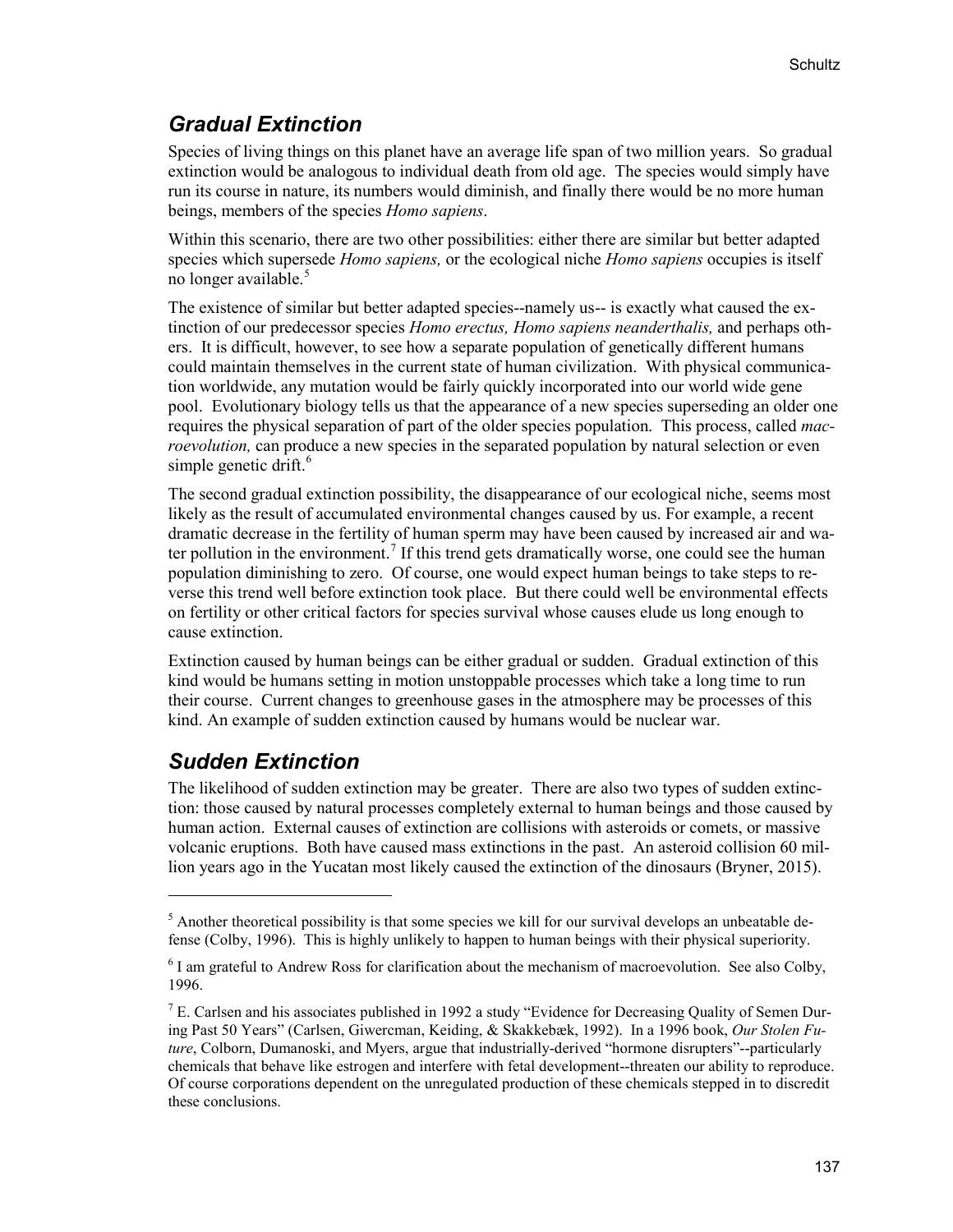### *Gradual Extinction*

Species of living things on this planet have an average life span of two million years. So gradual extinction would be analogous to individual death from old age. The species would simply have run its course in nature, its numbers would diminish, and finally there would be no more human beings, members of the species *Homo sapiens*.

Within this scenario, there are two other possibilities: either there are similar but better adapted species which supersede *Homo sapiens,* or the ecological niche *Homo sapiens* occupies is itself no longer available.<sup>[5](#page-6-0)</sup>

The existence of similar but better adapted species--namely us-- is exactly what caused the extinction of our predecessor species *Homo erectus, Homo sapiens neanderthalis,* and perhaps others. It is difficult, however, to see how a separate population of genetically different humans could maintain themselves in the current state of human civilization. With physical communication worldwide, any mutation would be fairly quickly incorporated into our world wide gene pool. Evolutionary biology tells us that the appearance of a new species superseding an older one requires the physical separation of part of the older species population. This process, called *macroevolution,* can produce a new species in the separated population by natural selection or even simple genetic drift. $6$ 

The second gradual extinction possibility, the disappearance of our ecological niche, seems most likely as the result of accumulated environmental changes caused by us. For example, a recent dramatic decrease in the fertility of human sperm may have been caused by increased air and wa-ter pollution in the environment.<sup>[7](#page-6-2)</sup> If this trend gets dramatically worse, one could see the human population diminishing to zero. Of course, one would expect human beings to take steps to reverse this trend well before extinction took place. But there could well be environmental effects on fertility or other critical factors for species survival whose causes elude us long enough to cause extinction.

Extinction caused by human beings can be either gradual or sudden. Gradual extinction of this kind would be humans setting in motion unstoppable processes which take a long time to run their course. Current changes to greenhouse gases in the atmosphere may be processes of this kind. An example of sudden extinction caused by humans would be nuclear war.

### *Sudden Extinction*

 $\overline{a}$ 

The likelihood of sudden extinction may be greater. There are also two types of sudden extinction: those caused by natural processes completely external to human beings and those caused by human action. External causes of extinction are collisions with asteroids or comets, or massive volcanic eruptions. Both have caused mass extinctions in the past. An asteroid collision 60 million years ago in the Yucatan most likely caused the extinction of the dinosaurs (Bryner, 2015).

<span id="page-6-0"></span> $<sup>5</sup>$  Another theoretical possibility is that some species we kill for our survival develops an unbeatable de-</sup> fense (Colby, 1996). This is highly unlikely to happen to human beings with their physical superiority.

<span id="page-6-1"></span> $6$  I am grateful to Andrew Ross for clarification about the mechanism of macroevolution. See also Colby, 1996.

<span id="page-6-2"></span><sup>&</sup>lt;sup>7</sup> E. Carlsen and his associates published in 1992 a study "Evidence for Decreasing Quality of Semen During Past 50 Years" (Carlsen, Giwercman, Keiding, & Skakkebæk, 1992). In a 1996 book, *Our Stolen Future*, Colborn, Dumanoski, and Myers, argue that industrially-derived "hormone disrupters"--particularly chemicals that behave like estrogen and interfere with fetal development--threaten our ability to reproduce. Of course corporations dependent on the unregulated production of these chemicals stepped in to discredit these conclusions.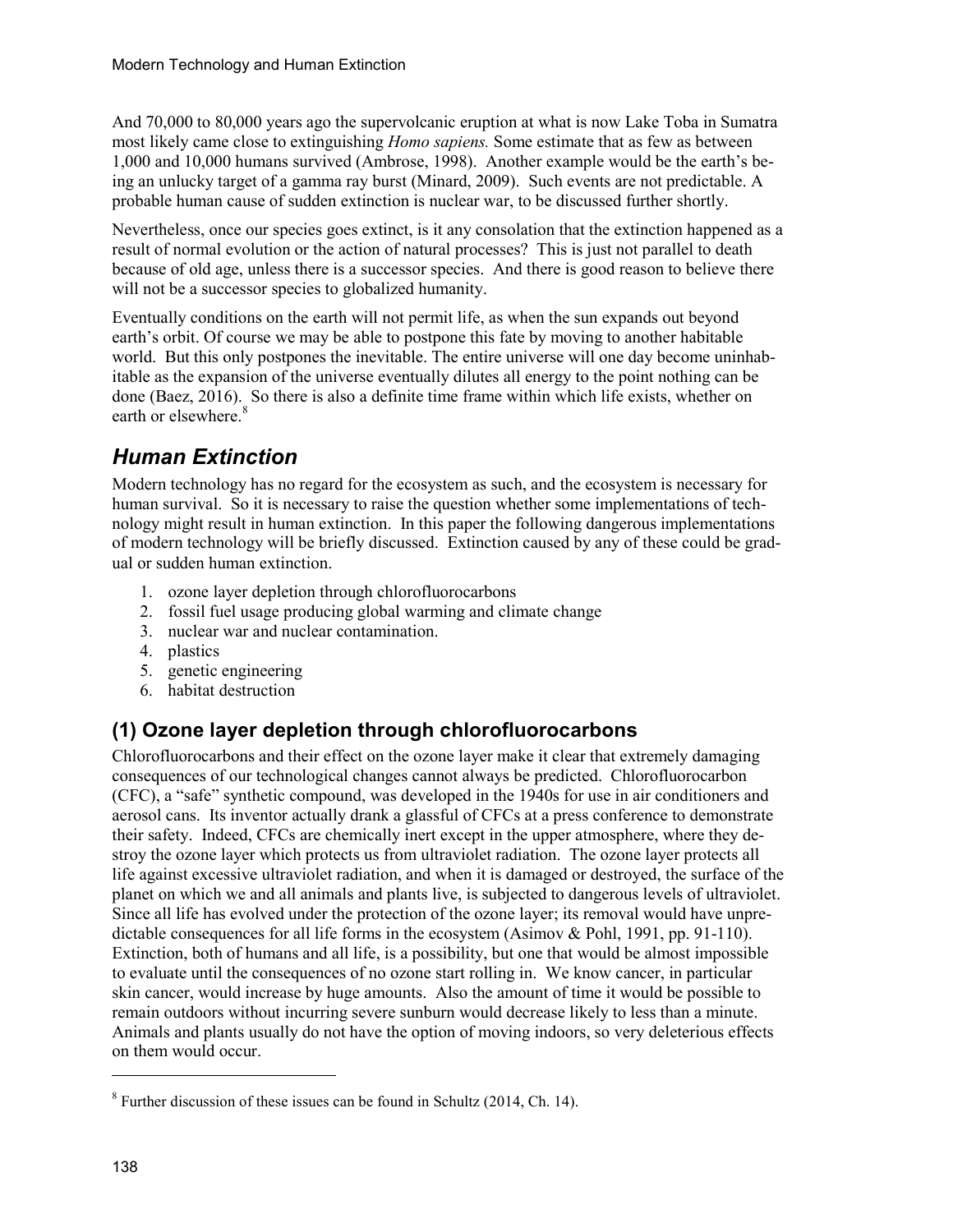And 70,000 to 80,000 years ago the supervolcanic eruption at what is now Lake Toba in Sumatra most likely came close to extinguishing *Homo sapiens.* Some estimate that as few as between 1,000 and 10,000 humans survived (Ambrose, 1998). Another example would be the earth's being an unlucky target of a gamma ray burst (Minard, 2009). Such events are not predictable. A probable human cause of sudden extinction is nuclear war, to be discussed further shortly.

Nevertheless, once our species goes extinct, is it any consolation that the extinction happened as a result of normal evolution or the action of natural processes? This is just not parallel to death because of old age, unless there is a successor species. And there is good reason to believe there will not be a successor species to globalized humanity.

Eventually conditions on the earth will not permit life, as when the sun expands out beyond earth's orbit. Of course we may be able to postpone this fate by moving to another habitable world. But this only postpones the inevitable. The entire universe will one day become uninhabitable as the expansion of the universe eventually dilutes all energy to the point nothing can be done (Baez, 2016). So there is also a definite time frame within which life exists, whether on earth or elsewhere.<sup>[8](#page-7-0)</sup>

## *Human Extinction*

Modern technology has no regard for the ecosystem as such, and the ecosystem is necessary for human survival. So it is necessary to raise the question whether some implementations of technology might result in human extinction. In this paper the following dangerous implementations of modern technology will be briefly discussed. Extinction caused by any of these could be gradual or sudden human extinction.

- 1. ozone layer depletion through chlorofluorocarbons
- 2. fossil fuel usage producing global warming and climate change
- 3. nuclear war and nuclear contamination.
- 4. plastics
- 5. genetic engineering
- 6. habitat destruction

## **(1) Ozone layer depletion through chlorofluorocarbons**

Chlorofluorocarbons and their effect on the ozone layer make it clear that extremely damaging consequences of our technological changes cannot always be predicted. Chlorofluorocarbon (CFC), a "safe" synthetic compound, was developed in the 1940s for use in air conditioners and aerosol cans. Its inventor actually drank a glassful of CFCs at a press conference to demonstrate their safety. Indeed, CFCs are chemically inert except in the upper atmosphere, where they destroy the ozone layer which protects us from ultraviolet radiation. The ozone layer protects all life against excessive ultraviolet radiation, and when it is damaged or destroyed, the surface of the planet on which we and all animals and plants live, is subjected to dangerous levels of ultraviolet. Since all life has evolved under the protection of the ozone layer; its removal would have unpredictable consequences for all life forms in the ecosystem (Asimov & Pohl, 1991, pp. 91-110). Extinction, both of humans and all life, is a possibility, but one that would be almost impossible to evaluate until the consequences of no ozone start rolling in. We know cancer, in particular skin cancer, would increase by huge amounts. Also the amount of time it would be possible to remain outdoors without incurring severe sunburn would decrease likely to less than a minute. Animals and plants usually do not have the option of moving indoors, so very deleterious effects on them would occur.

<span id="page-7-0"></span> $8$  Further discussion of these issues can be found in Schultz (2014, Ch. 14).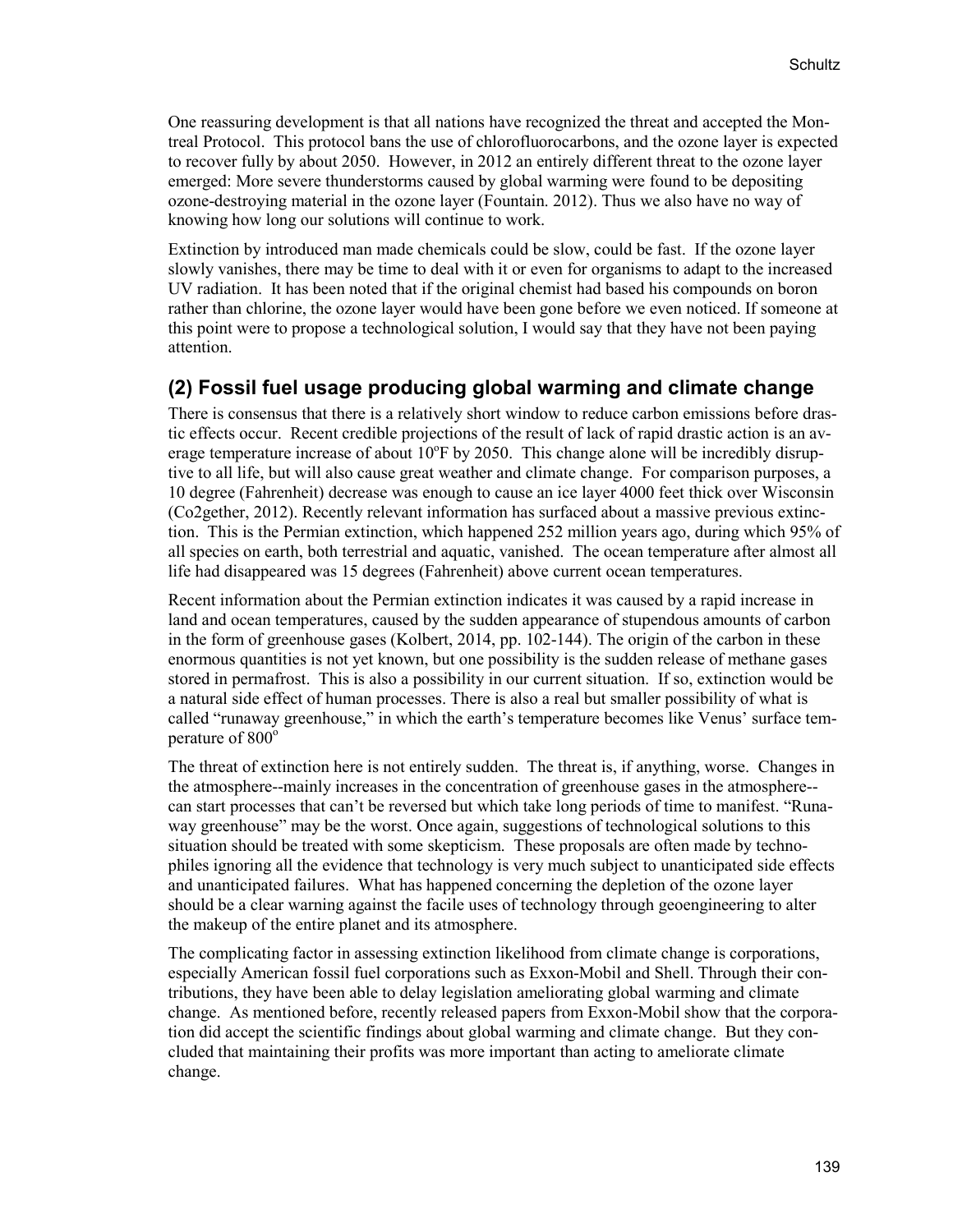One reassuring development is that all nations have recognized the threat and accepted the Montreal Protocol. This protocol bans the use of chlorofluorocarbons, and the ozone layer is expected to recover fully by about 2050. However, in 2012 an entirely different threat to the ozone layer emerged: More severe thunderstorms caused by global warming were found to be depositing ozone-destroying material in the ozone layer (Fountain. 2012). Thus we also have no way of knowing how long our solutions will continue to work.

Extinction by introduced man made chemicals could be slow, could be fast. If the ozone layer slowly vanishes, there may be time to deal with it or even for organisms to adapt to the increased UV radiation. It has been noted that if the original chemist had based his compounds on boron rather than chlorine, the ozone layer would have been gone before we even noticed. If someone at this point were to propose a technological solution, I would say that they have not been paying attention.

#### **(2) Fossil fuel usage producing global warming and climate change**

There is consensus that there is a relatively short window to reduce carbon emissions before drastic effects occur. Recent credible projections of the result of lack of rapid drastic action is an average temperature increase of about  $10^{\circ}$ F by 2050. This change alone will be incredibly disruptive to all life, but will also cause great weather and climate change. For comparison purposes, a 10 degree (Fahrenheit) decrease was enough to cause an ice layer 4000 feet thick over Wisconsin (Co2gether, 2012). Recently relevant information has surfaced about a massive previous extinction. This is the Permian extinction, which happened 252 million years ago, during which 95% of all species on earth, both terrestrial and aquatic, vanished. The ocean temperature after almost all life had disappeared was 15 degrees (Fahrenheit) above current ocean temperatures.

Recent information about the Permian extinction indicates it was caused by a rapid increase in land and ocean temperatures, caused by the sudden appearance of stupendous amounts of carbon in the form of greenhouse gases (Kolbert, 2014, pp. 102-144). The origin of the carbon in these enormous quantities is not yet known, but one possibility is the sudden release of methane gases stored in permafrost. This is also a possibility in our current situation. If so, extinction would be a natural side effect of human processes. There is also a real but smaller possibility of what is called "runaway greenhouse," in which the earth's temperature becomes like Venus' surface temperature of  $800^\circ$ 

The threat of extinction here is not entirely sudden. The threat is, if anything, worse. Changes in the atmosphere--mainly increases in the concentration of greenhouse gases in the atmosphere- can start processes that can't be reversed but which take long periods of time to manifest. "Runaway greenhouse" may be the worst. Once again, suggestions of technological solutions to this situation should be treated with some skepticism. These proposals are often made by technophiles ignoring all the evidence that technology is very much subject to unanticipated side effects and unanticipated failures. What has happened concerning the depletion of the ozone layer should be a clear warning against the facile uses of technology through geoengineering to alter the makeup of the entire planet and its atmosphere.

The complicating factor in assessing extinction likelihood from climate change is corporations, especially American fossil fuel corporations such as Exxon-Mobil and Shell. Through their contributions, they have been able to delay legislation ameliorating global warming and climate change. As mentioned before, recently released papers from Exxon-Mobil show that the corporation did accept the scientific findings about global warming and climate change. But they concluded that maintaining their profits was more important than acting to ameliorate climate change.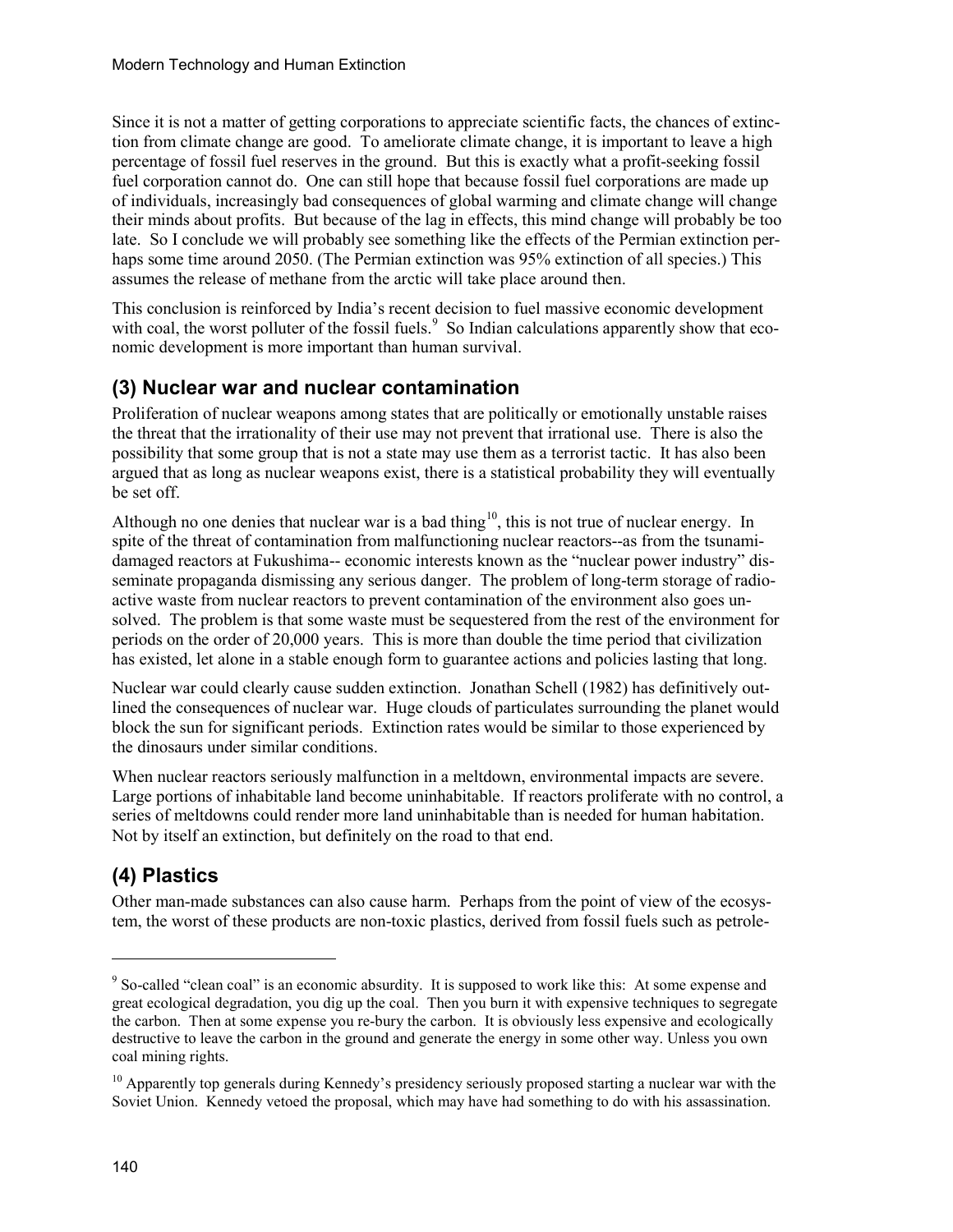Since it is not a matter of getting corporations to appreciate scientific facts, the chances of extinction from climate change are good. To ameliorate climate change, it is important to leave a high percentage of fossil fuel reserves in the ground. But this is exactly what a profit-seeking fossil fuel corporation cannot do. One can still hope that because fossil fuel corporations are made up of individuals, increasingly bad consequences of global warming and climate change will change their minds about profits. But because of the lag in effects, this mind change will probably be too late. So I conclude we will probably see something like the effects of the Permian extinction perhaps some time around 2050. (The Permian extinction was 95% extinction of all species.) This assumes the release of methane from the arctic will take place around then.

This conclusion is reinforced by India's recent decision to fuel massive economic development with coal, the worst polluter of the fossil fuels. So Indian calculations apparently show that economic development is more important than human survival.

### **(3) Nuclear war and nuclear contamination**

Proliferation of nuclear weapons among states that are politically or emotionally unstable raises the threat that the irrationality of their use may not prevent that irrational use. There is also the possibility that some group that is not a state may use them as a terrorist tactic. It has also been argued that as long as nuclear weapons exist, there is a statistical probability they will eventually be set off.

Although no one denies that nuclear war is a bad thing<sup>10</sup>, this is not true of nuclear energy. In spite of the threat of contamination from malfunctioning nuclear reactors--as from the tsunamidamaged reactors at Fukushima-- economic interests known as the "nuclear power industry" disseminate propaganda dismissing any serious danger. The problem of long-term storage of radioactive waste from nuclear reactors to prevent contamination of the environment also goes unsolved. The problem is that some waste must be sequestered from the rest of the environment for periods on the order of 20,000 years. This is more than double the time period that civilization has existed, let alone in a stable enough form to guarantee actions and policies lasting that long.

Nuclear war could clearly cause sudden extinction. Jonathan Schell (1982) has definitively outlined the consequences of nuclear war. Huge clouds of particulates surrounding the planet would block the sun for significant periods. Extinction rates would be similar to those experienced by the dinosaurs under similar conditions.

When nuclear reactors seriously malfunction in a meltdown, environmental impacts are severe. Large portions of inhabitable land become uninhabitable. If reactors proliferate with no control, a series of meltdowns could render more land uninhabitable than is needed for human habitation. Not by itself an extinction, but definitely on the road to that end.

## **(4) Plastics**

Other man-made substances can also cause harm. Perhaps from the point of view of the ecosystem, the worst of these products are non-toxic plastics, derived from fossil fuels such as petrole-

<span id="page-9-0"></span><sup>&</sup>lt;sup>9</sup> So-called "clean coal" is an economic absurdity. It is supposed to work like this: At some expense and great ecological degradation, you dig up the coal. Then you burn it with expensive techniques to segregate the carbon. Then at some expense you re-bury the carbon. It is obviously less expensive and ecologically destructive to leave the carbon in the ground and generate the energy in some other way. Unless you own coal mining rights.

<span id="page-9-1"></span> $10$  Apparently top generals during Kennedy's presidency seriously proposed starting a nuclear war with the Soviet Union. Kennedy vetoed the proposal, which may have had something to do with his assassination.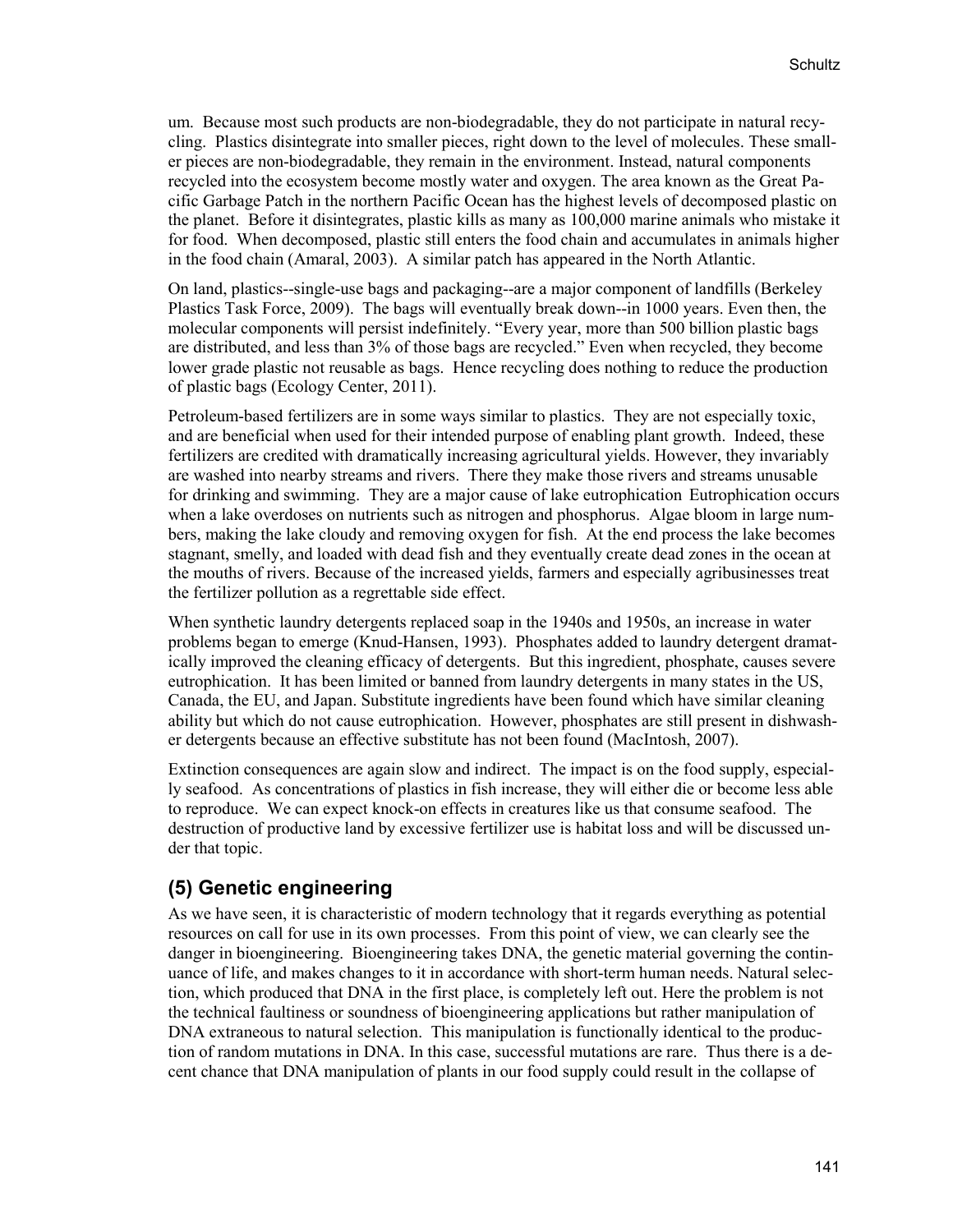um. Because most such products are non-biodegradable, they do not participate in natural recycling. Plastics disintegrate into smaller pieces, right down to the level of molecules. These smaller pieces are non-biodegradable, they remain in the environment. Instead, natural components recycled into the ecosystem become mostly water and oxygen. The area known as the Great Pacific Garbage Patch in the northern Pacific Ocean has the highest levels of decomposed plastic on the planet. Before it disintegrates, plastic kills as many as 100,000 marine animals who mistake it for food. When decomposed, plastic still enters the food chain and accumulates in animals higher in the food chain (Amaral, 2003). A similar patch has appeared in the North Atlantic.

On land, plastics--single-use bags and packaging--are a major component of landfills (Berkeley Plastics Task Force, 2009). The bags will eventually break down--in 1000 years. Even then, the molecular components will persist indefinitely. "Every year, more than 500 billion plastic bags are distributed, and less than 3% of those bags are recycled." Even when recycled, they become lower grade plastic not reusable as bags. Hence recycling does nothing to reduce the production of plastic bags (Ecology Center, 2011).

Petroleum-based fertilizers are in some ways similar to plastics. They are not especially toxic, and are beneficial when used for their intended purpose of enabling plant growth. Indeed, these fertilizers are credited with dramatically increasing agricultural yields. However, they invariably are washed into nearby streams and rivers. There they make those rivers and streams unusable for drinking and swimming. They are a major cause of lake eutrophication Eutrophication occurs when a lake overdoses on nutrients such as nitrogen and phosphorus. Algae bloom in large numbers, making the lake cloudy and removing oxygen for fish. At the end process the lake becomes stagnant, smelly, and loaded with dead fish and they eventually create dead zones in the ocean at the mouths of rivers. Because of the increased yields, farmers and especially agribusinesses treat the fertilizer pollution as a regrettable side effect.

When synthetic laundry detergents replaced soap in the 1940s and 1950s, an increase in water problems began to emerge (Knud-Hansen, 1993). Phosphates added to laundry detergent dramatically improved the cleaning efficacy of detergents. But this ingredient, phosphate, causes severe eutrophication. It has been limited or banned from laundry detergents in many states in the US, Canada, the EU, and Japan. Substitute ingredients have been found which have similar cleaning ability but which do not cause eutrophication. However, phosphates are still present in dishwasher detergents because an effective substitute has not been found (MacIntosh, 2007).

Extinction consequences are again slow and indirect. The impact is on the food supply, especially seafood. As concentrations of plastics in fish increase, they will either die or become less able to reproduce. We can expect knock-on effects in creatures like us that consume seafood. The destruction of productive land by excessive fertilizer use is habitat loss and will be discussed under that topic.

### **(5) Genetic engineering**

As we have seen, it is characteristic of modern technology that it regards everything as potential resources on call for use in its own processes. From this point of view, we can clearly see the danger in bioengineering. Bioengineering takes DNA, the genetic material governing the continuance of life, and makes changes to it in accordance with short-term human needs. Natural selection, which produced that DNA in the first place, is completely left out. Here the problem is not the technical faultiness or soundness of bioengineering applications but rather manipulation of DNA extraneous to natural selection. This manipulation is functionally identical to the production of random mutations in DNA. In this case, successful mutations are rare. Thus there is a decent chance that DNA manipulation of plants in our food supply could result in the collapse of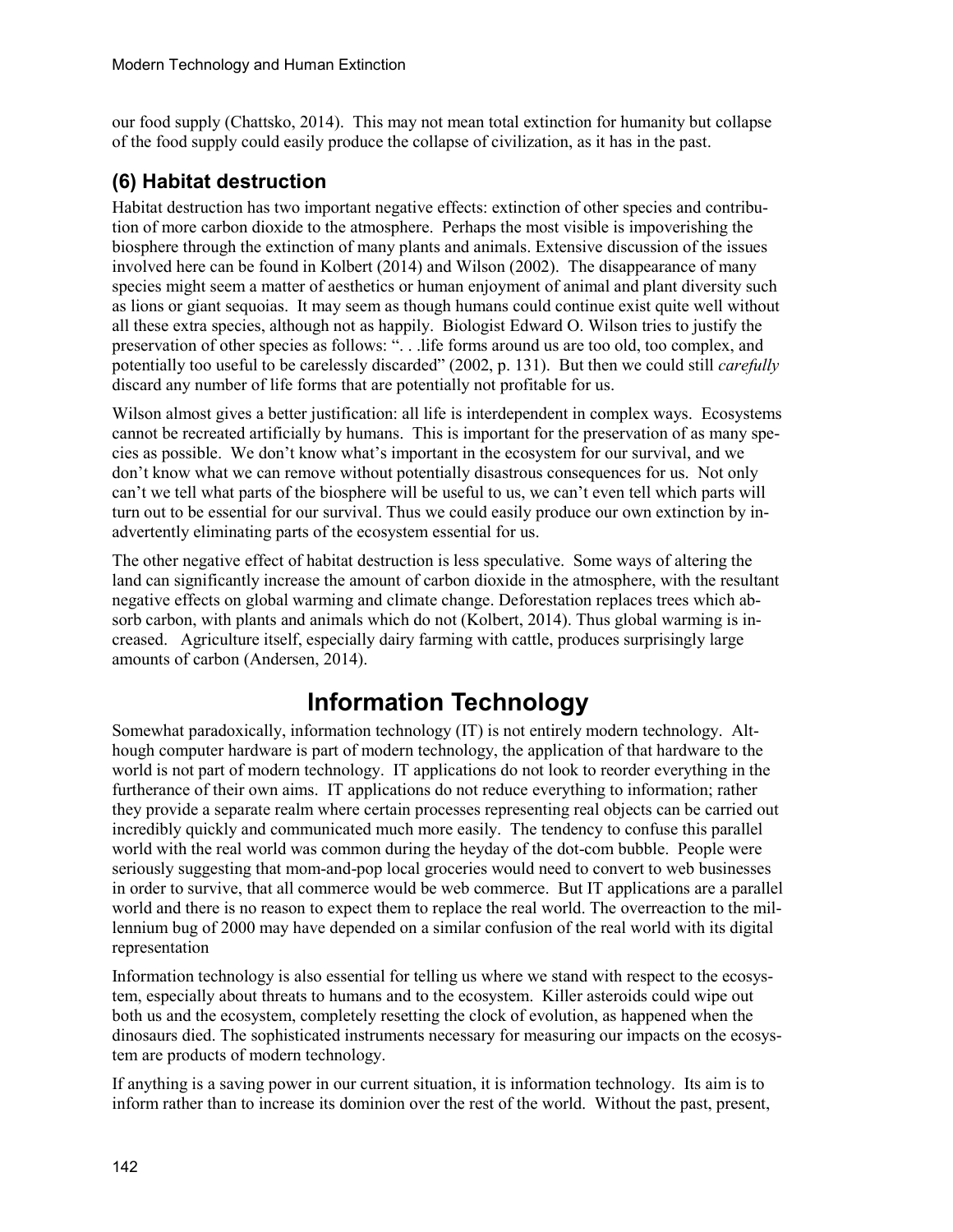our food supply (Chattsko, 2014). This may not mean total extinction for humanity but collapse of the food supply could easily produce the collapse of civilization, as it has in the past.

### **(6) Habitat destruction**

Habitat destruction has two important negative effects: extinction of other species and contribution of more carbon dioxide to the atmosphere. Perhaps the most visible is impoverishing the biosphere through the extinction of many plants and animals. Extensive discussion of the issues involved here can be found in Kolbert (2014) and Wilson (2002). The disappearance of many species might seem a matter of aesthetics or human enjoyment of animal and plant diversity such as lions or giant sequoias. It may seem as though humans could continue exist quite well without all these extra species, although not as happily. Biologist Edward O. Wilson tries to justify the preservation of other species as follows: ". . .life forms around us are too old, too complex, and potentially too useful to be carelessly discarded" (2002, p. 131). But then we could still *carefully* discard any number of life forms that are potentially not profitable for us.

Wilson almost gives a better justification: all life is interdependent in complex ways. Ecosystems cannot be recreated artificially by humans. This is important for the preservation of as many species as possible. We don't know what's important in the ecosystem for our survival, and we don't know what we can remove without potentially disastrous consequences for us. Not only can't we tell what parts of the biosphere will be useful to us, we can't even tell which parts will turn out to be essential for our survival. Thus we could easily produce our own extinction by inadvertently eliminating parts of the ecosystem essential for us.

The other negative effect of habitat destruction is less speculative. Some ways of altering the land can significantly increase the amount of carbon dioxide in the atmosphere, with the resultant negative effects on global warming and climate change. Deforestation replaces trees which absorb carbon, with plants and animals which do not (Kolbert, 2014). Thus global warming is increased. Agriculture itself, especially dairy farming with cattle, produces surprisingly large amounts of carbon (Andersen, 2014).

# **Information Technology**

Somewhat paradoxically, information technology (IT) is not entirely modern technology. Although computer hardware is part of modern technology, the application of that hardware to the world is not part of modern technology. IT applications do not look to reorder everything in the furtherance of their own aims. IT applications do not reduce everything to information; rather they provide a separate realm where certain processes representing real objects can be carried out incredibly quickly and communicated much more easily. The tendency to confuse this parallel world with the real world was common during the heyday of the dot-com bubble. People were seriously suggesting that mom-and-pop local groceries would need to convert to web businesses in order to survive, that all commerce would be web commerce. But IT applications are a parallel world and there is no reason to expect them to replace the real world. The overreaction to the millennium bug of 2000 may have depended on a similar confusion of the real world with its digital representation

Information technology is also essential for telling us where we stand with respect to the ecosystem, especially about threats to humans and to the ecosystem. Killer asteroids could wipe out both us and the ecosystem, completely resetting the clock of evolution, as happened when the dinosaurs died. The sophisticated instruments necessary for measuring our impacts on the ecosystem are products of modern technology.

If anything is a saving power in our current situation, it is information technology. Its aim is to inform rather than to increase its dominion over the rest of the world. Without the past, present,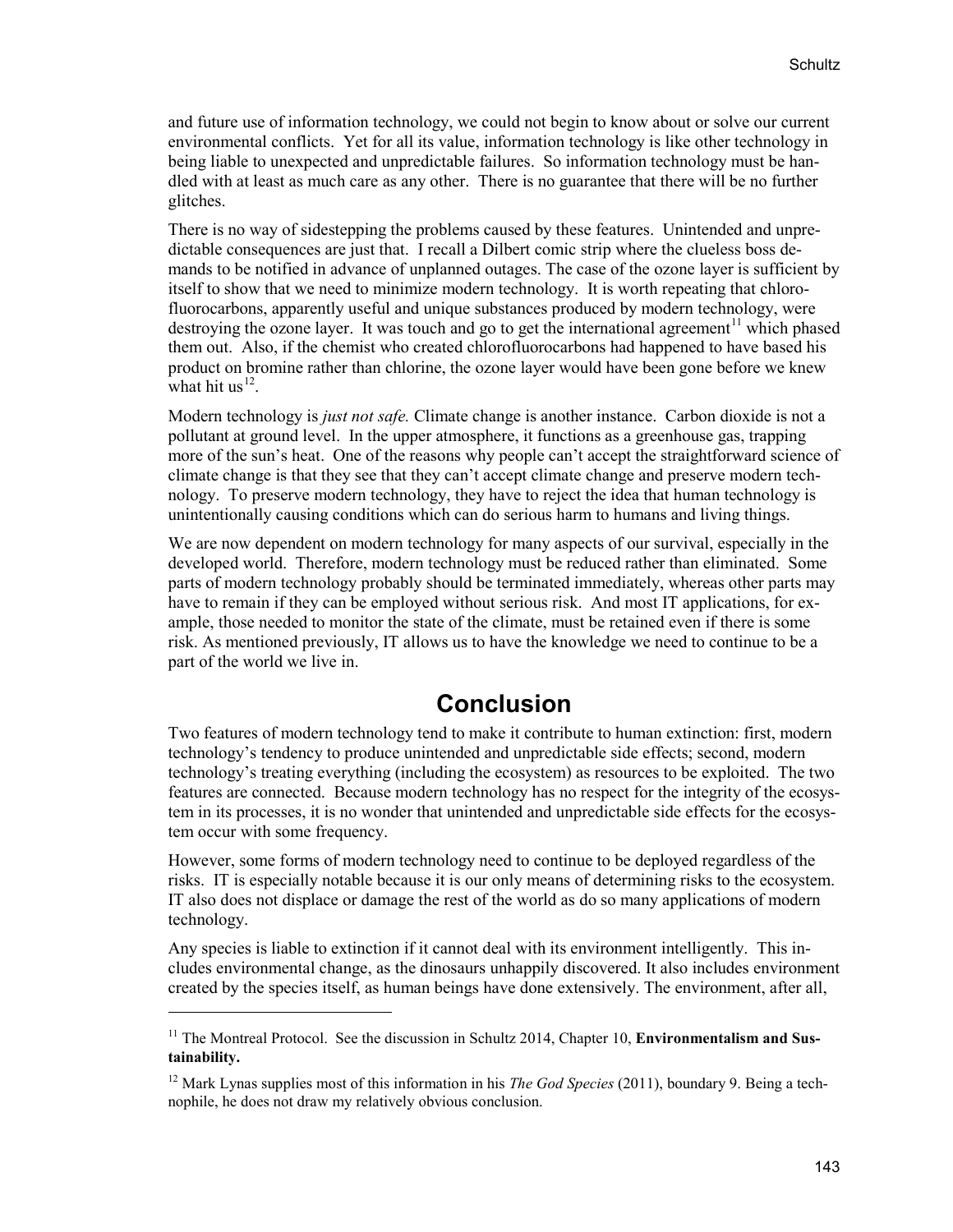and future use of information technology, we could not begin to know about or solve our current environmental conflicts. Yet for all its value, information technology is like other technology in being liable to unexpected and unpredictable failures. So information technology must be handled with at least as much care as any other. There is no guarantee that there will be no further glitches.

There is no way of sidestepping the problems caused by these features. Unintended and unpredictable consequences are just that. I recall a Dilbert comic strip where the clueless boss demands to be notified in advance of unplanned outages. The case of the ozone layer is sufficient by itself to show that we need to minimize modern technology. It is worth repeating that chlorofluorocarbons, apparently useful and unique substances produced by modern technology, were destroying the ozone layer. It was touch and go to get the international agreement<sup>[11](#page-12-0)</sup> which phased them out. Also, if the chemist who created chlorofluorocarbons had happened to have based his product on bromine rather than chlorine, the ozone layer would have been gone before we knew what hit us<sup>12</sup>.

Modern technology is *just not safe.* Climate change is another instance. Carbon dioxide is not a pollutant at ground level. In the upper atmosphere, it functions as a greenhouse gas, trapping more of the sun's heat. One of the reasons why people can't accept the straightforward science of climate change is that they see that they can't accept climate change and preserve modern technology. To preserve modern technology, they have to reject the idea that human technology is unintentionally causing conditions which can do serious harm to humans and living things.

We are now dependent on modern technology for many aspects of our survival, especially in the developed world. Therefore, modern technology must be reduced rather than eliminated. Some parts of modern technology probably should be terminated immediately, whereas other parts may have to remain if they can be employed without serious risk. And most IT applications, for example, those needed to monitor the state of the climate, must be retained even if there is some risk. As mentioned previously, IT allows us to have the knowledge we need to continue to be a part of the world we live in.

## **Conclusion**

Two features of modern technology tend to make it contribute to human extinction: first, modern technology's tendency to produce unintended and unpredictable side effects; second, modern technology's treating everything (including the ecosystem) as resources to be exploited. The two features are connected. Because modern technology has no respect for the integrity of the ecosystem in its processes, it is no wonder that unintended and unpredictable side effects for the ecosystem occur with some frequency.

However, some forms of modern technology need to continue to be deployed regardless of the risks. IT is especially notable because it is our only means of determining risks to the ecosystem. IT also does not displace or damage the rest of the world as do so many applications of modern technology.

Any species is liable to extinction if it cannot deal with its environment intelligently. This includes environmental change, as the dinosaurs unhappily discovered. It also includes environment created by the species itself, as human beings have done extensively. The environment, after all,

<span id="page-12-0"></span><sup>&</sup>lt;sup>11</sup> The Montreal Protocol. See the discussion in Schultz 2014, Chapter 10, **Environmentalism and Sustainability.**

<span id="page-12-1"></span><sup>12</sup> Mark Lynas supplies most of this information in his *The God Species* (2011), boundary 9. Being a technophile, he does not draw my relatively obvious conclusion.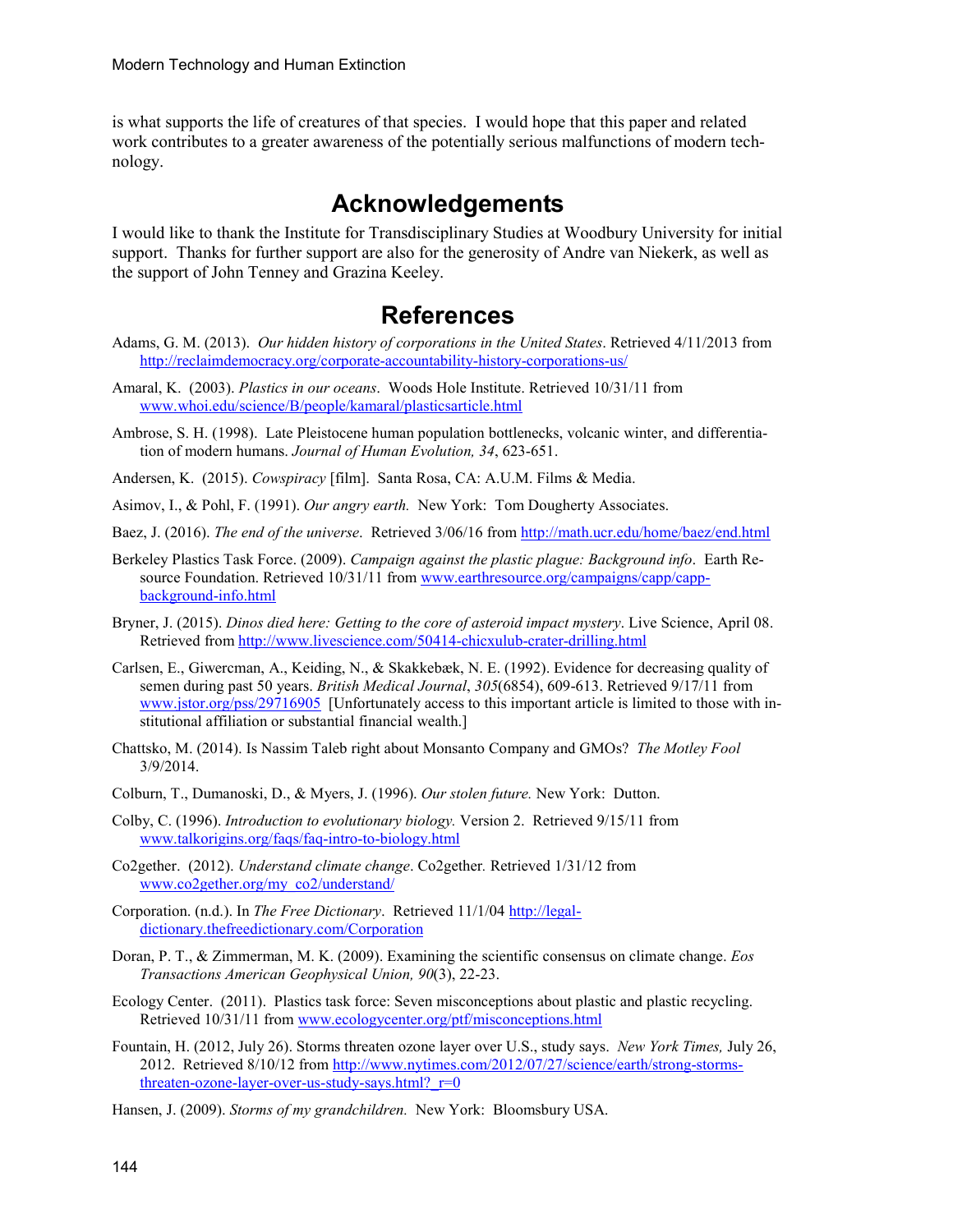is what supports the life of creatures of that species. I would hope that this paper and related work contributes to a greater awareness of the potentially serious malfunctions of modern technology.

### **Acknowledgements**

I would like to thank the Institute for Transdisciplinary Studies at Woodbury University for initial support. Thanks for further support are also for the generosity of Andre van Niekerk, as well as the support of John Tenney and Grazina Keeley.

## **References**

- Adams, G. M. (2013). *Our hidden history of corporations in the United States*. Retrieved 4/11/2013 from <http://reclaimdemocracy.org/corporate-accountability-history-corporations-us/>
- Amaral, K. (2003). *Plastics in our oceans*. Woods Hole Institute. Retrieved 10/31/11 from [www.whoi.edu/science/B/people/kamaral/plasticsarticle.html](http://www.whoi.edu/science/B/people/kamaral/plasticsarticle.html)
- Ambrose, S. H. (1998). Late Pleistocene human population bottlenecks, volcanic winter, and differentiation of modern humans. *Journal of Human Evolution, 34*, 623-651.
- Andersen, K. (2015). *Cowspiracy* [film]. Santa Rosa, CA: A.U.M. Films & Media.
- Asimov, I., & Pohl, F. (1991). *Our angry earth.* New York: Tom Dougherty Associates.
- Baez, J. (2016). *The end of the universe*. Retrieved 3/06/16 fro[m http://math.ucr.edu/home/baez/end.html](http://math.ucr.edu/home/baez/end.html)
- Berkeley Plastics Task Force. (2009). *Campaign against the plastic plague: Background info*. Earth Resource Foundation. Retrieved 10/31/11 fro[m www.earthresource.org/campaigns/capp/capp](http://www.earthresource.org/campaigns/capp/capp-background-info.html)[background-info.html](http://www.earthresource.org/campaigns/capp/capp-background-info.html)
- Bryner, J. (2015). *Dinos died here: Getting to the core of asteroid impact mystery*. Live Science, April 08. Retrieved from<http://www.livescience.com/50414-chicxulub-crater-drilling.html>
- Carlsen, E., Giwercman, A., Keiding, N., & Skakkebæk, N. E. (1992). Evidence for decreasing quality of semen during past 50 years. *British Medical Journal*, *305*(6854), 609-613. Retrieved 9/17/11 from [www.jstor.org/pss/29716905](http://www.jstor.org/pss/29716905) [Unfortunately access to this important article is limited to those with institutional affiliation or substantial financial wealth.]
- Chattsko, M. (2014). Is Nassim Taleb right about Monsanto Company and GMOs? *The Motley Fool*  3/9/2014.
- Colburn, T., Dumanoski, D., & Myers, J. (1996). *Our stolen future.* New York: Dutton.
- Colby, C. (1996). *Introduction to evolutionary biology.* Version 2. Retrieved 9/15/11 from [www.talkorigins.org/faqs/faq-intro-to-biology.html](http://www.talkorigins.org/faqs/faq-intro-to-biology.html)
- Co2gether. (2012). *Understand climate change*. Co2gether*.* Retrieved 1/31/12 from [www.co2gether.org/my\\_co2/understand/](http://www.co2gether.org/my_co2/understand/)
- Corporation. (n.d.). In *The Free Dictionary*. Retrieved 11/1/04 [http://legal](http://legal-dictionary.thefreedictionary.com/Corporation)[dictionary.thefreedictionary.com/Corporation](http://legal-dictionary.thefreedictionary.com/Corporation)
- Doran, P. T., & Zimmerman, M. K. (2009). Examining the scientific consensus on climate change. *Eos Transactions American Geophysical Union, 90*(3), 22-23.
- Ecology Center. (2011). Plastics task force: Seven misconceptions about plastic and plastic recycling. Retrieved 10/31/11 from [www.ecologycenter.org/ptf/misconceptions.html](http://www.ecologycenter.org/ptf/misconceptions.html)
- Fountain, H. (2012, July 26). Storms threaten ozone layer over U.S., study says. *New York Times,* July 26, 2012. Retrieved 8/10/12 from [http://www.nytimes.com/2012/07/27/science/earth/strong-storms](http://www.nytimes.com/2012/07/27/science/earth/strong-storms-threaten-ozone-layer-over-us-study-says.html?_r=0)threaten-ozone-layer-over-us-study-says.html? $r=0$
- Hansen, J. (2009). *Storms of my grandchildren.* New York: Bloomsbury USA.